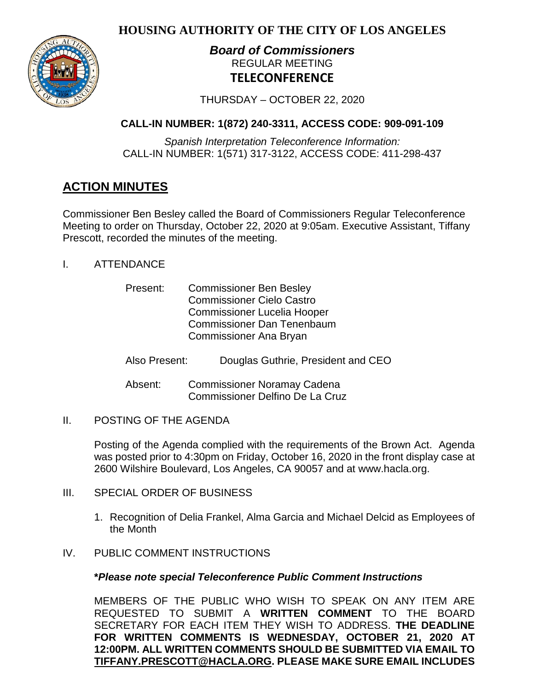**HOUSING AUTHORITY OF THE CITY OF LOS ANGELES**



# *Board of Commissioners* REGULAR MEETING **TELECONFERENCE**

THURSDAY – OCTOBER 22, 2020

# **CALL-IN NUMBER: 1(872) 240-3311, ACCESS CODE: 909-091-109**

*Spanish Interpretation Teleconference Information:* CALL-IN NUMBER: 1(571) 317-3122, ACCESS CODE: 411-298-437

# **ACTION MINUTES**

Commissioner Ben Besley called the Board of Commissioners Regular Teleconference Meeting to order on Thursday, October 22, 2020 at 9:05am. Executive Assistant, Tiffany Prescott, recorded the minutes of the meeting.

I. ATTENDANCE

| Present: | <b>Commissioner Ben Besley</b>     |
|----------|------------------------------------|
|          | <b>Commissioner Cielo Castro</b>   |
|          | <b>Commissioner Lucelia Hooper</b> |
|          | <b>Commissioner Dan Tenenbaum</b>  |
|          | <b>Commissioner Ana Bryan</b>      |

- Also Present: Douglas Guthrie, President and CEO
- Absent: Commissioner Noramay Cadena Commissioner Delfino De La Cruz
- II. POSTING OF THE AGENDA

Posting of the Agenda complied with the requirements of the Brown Act. Agenda was posted prior to 4:30pm on Friday, October 16, 2020 in the front display case at 2600 Wilshire Boulevard, Los Angeles, CA 90057 and at [www.hacla.org.](http://www.hacla.org/)

- III. SPECIAL ORDER OF BUSINESS
	- 1. Recognition of Delia Frankel, Alma Garcia and Michael Delcid as Employees of the Month
- IV. PUBLIC COMMENT INSTRUCTIONS

## **\****Please note special Teleconference Public Comment Instructions*

MEMBERS OF THE PUBLIC WHO WISH TO SPEAK ON ANY ITEM ARE REQUESTED TO SUBMIT A **WRITTEN COMMENT** TO THE BOARD SECRETARY FOR EACH ITEM THEY WISH TO ADDRESS. **THE DEADLINE FOR WRITTEN COMMENTS IS WEDNESDAY, OCTOBER 21, 2020 AT 12:00PM. ALL WRITTEN COMMENTS SHOULD BE SUBMITTED VIA EMAIL TO [TIFFANY.PRESCOTT@HACLA.ORG.](mailto:TIFFANY.PRESCOTT@HACLA.ORG) PLEASE MAKE SURE EMAIL INCLUDES**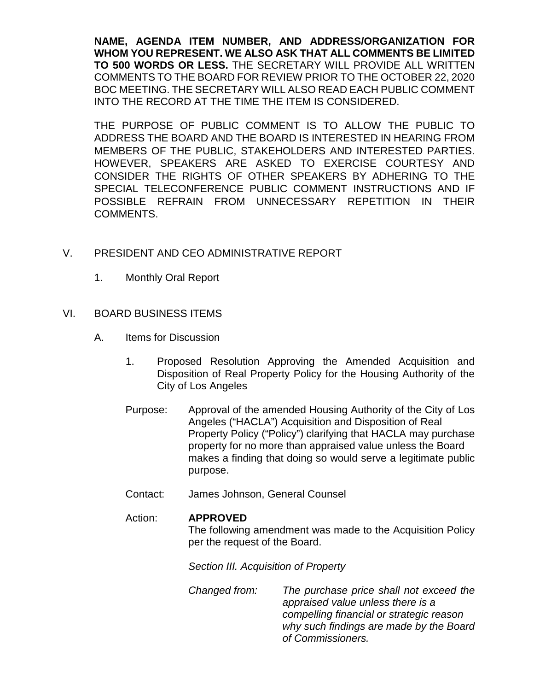**NAME, AGENDA ITEM NUMBER, AND ADDRESS/ORGANIZATION FOR WHOM YOU REPRESENT. WE ALSO ASK THAT ALL COMMENTS BE LIMITED TO 500 WORDS OR LESS.** THE SECRETARY WILL PROVIDE ALL WRITTEN COMMENTS TO THE BOARD FOR REVIEW PRIOR TO THE OCTOBER 22, 2020 BOC MEETING. THE SECRETARY WILL ALSO READ EACH PUBLIC COMMENT INTO THE RECORD AT THE TIME THE ITEM IS CONSIDERED.

THE PURPOSE OF PUBLIC COMMENT IS TO ALLOW THE PUBLIC TO ADDRESS THE BOARD AND THE BOARD IS INTERESTED IN HEARING FROM MEMBERS OF THE PUBLIC, STAKEHOLDERS AND INTERESTED PARTIES. HOWEVER, SPEAKERS ARE ASKED TO EXERCISE COURTESY AND CONSIDER THE RIGHTS OF OTHER SPEAKERS BY ADHERING TO THE SPECIAL TELECONFERENCE PUBLIC COMMENT INSTRUCTIONS AND IF POSSIBLE REFRAIN FROM UNNECESSARY REPETITION IN THEIR COMMENTS.

- V. PRESIDENT AND CEO ADMINISTRATIVE REPORT
	- 1. Monthly Oral Report
- VI. BOARD BUSINESS ITEMS
	- A. Items for Discussion
		- 1. Proposed Resolution Approving the Amended Acquisition and Disposition of Real Property Policy for the Housing Authority of the City of Los Angeles
		- Purpose: Approval of the amended Housing Authority of the City of Los Angeles ("HACLA") Acquisition and Disposition of Real Property Policy ("Policy") clarifying that HACLA may purchase property for no more than appraised value unless the Board makes a finding that doing so would serve a legitimate public purpose.
		- Contact: James Johnson, General Counsel

## Action: **APPROVED**

The following amendment was made to the Acquisition Policy per the request of the Board.

*Section III. Acquisition of Property*

*Changed from: The purchase price shall not exceed the appraised value unless there is a compelling financial or strategic reason why such findings are made by the Board of Commissioners.*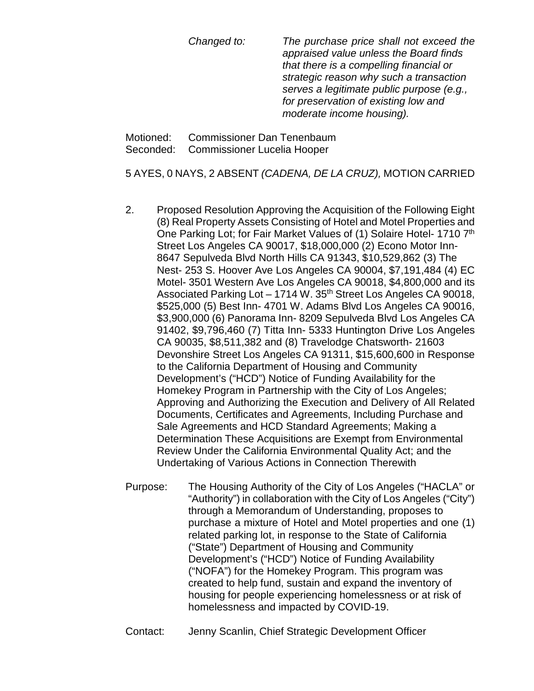*Changed to: The purchase price shall not exceed the appraised value unless the Board finds that there is a compelling financial or strategic reason why such a transaction serves a legitimate public purpose (e.g., for preservation of existing low and moderate income housing).*

Motioned: Commissioner Dan Tenenbaum Seconded: Commissioner Lucelia Hooper

5 AYES, 0 NAYS, 2 ABSENT *(CADENA, DE LA CRUZ),* MOTION CARRIED

- 2. Proposed Resolution Approving the Acquisition of the Following Eight (8) Real Property Assets Consisting of Hotel and Motel Properties and One Parking Lot; for Fair Market Values of (1) Solaire Hotel- 1710 7th Street Los Angeles CA 90017, \$18,000,000 (2) Econo Motor Inn-8647 Sepulveda Blvd North Hills CA 91343, \$10,529,862 (3) The Nest- 253 S. Hoover Ave Los Angeles CA 90004, \$7,191,484 (4) EC Motel- 3501 Western Ave Los Angeles CA 90018, \$4,800,000 and its Associated Parking Lot - 1714 W. 35<sup>th</sup> Street Los Angeles CA 90018, \$525,000 (5) Best Inn- 4701 W. Adams Blvd Los Angeles CA 90016, \$3,900,000 (6) Panorama Inn- 8209 Sepulveda Blvd Los Angeles CA 91402, \$9,796,460 (7) Titta Inn- 5333 Huntington Drive Los Angeles CA 90035, \$8,511,382 and (8) Travelodge Chatsworth- 21603 Devonshire Street Los Angeles CA 91311, \$15,600,600 in Response to the California Department of Housing and Community Development's ("HCD") Notice of Funding Availability for the Homekey Program in Partnership with the City of Los Angeles; Approving and Authorizing the Execution and Delivery of All Related Documents, Certificates and Agreements, Including Purchase and Sale Agreements and HCD Standard Agreements; Making a Determination These Acquisitions are Exempt from Environmental Review Under the California Environmental Quality Act; and the Undertaking of Various Actions in Connection Therewith
- Purpose: The Housing Authority of the City of Los Angeles ("HACLA" or "Authority") in collaboration with the City of Los Angeles ("City") through a Memorandum of Understanding, proposes to purchase a mixture of Hotel and Motel properties and one (1) related parking lot, in response to the State of California ("State") Department of Housing and Community Development's ("HCD") Notice of Funding Availability ("NOFA") for the Homekey Program. This program was created to help fund, sustain and expand the inventory of housing for people experiencing homelessness or at risk of homelessness and impacted by COVID-19.
- Contact: Jenny Scanlin, Chief Strategic Development Officer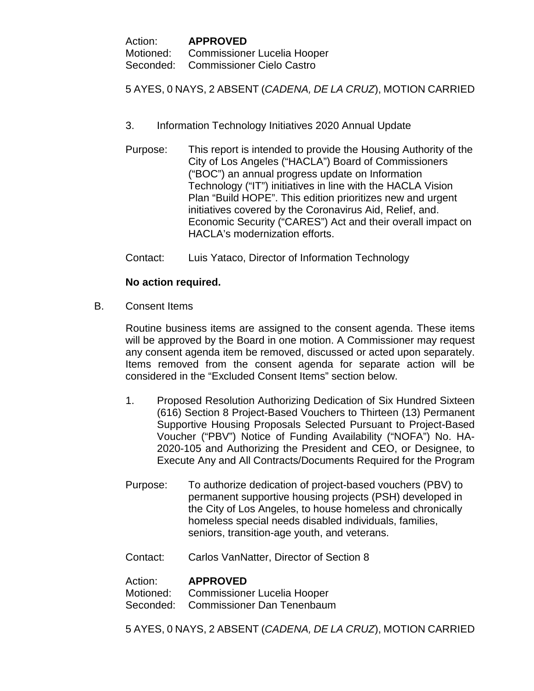| Action: | <b>APPROVED</b>                       |
|---------|---------------------------------------|
|         | Motioned: Commissioner Lucelia Hooper |
|         | Seconded: Commissioner Cielo Castro   |

5 AYES, 0 NAYS, 2 ABSENT (*CADENA, DE LA CRUZ*), MOTION CARRIED

- 3. Information Technology Initiatives 2020 Annual Update
- Purpose: This report is intended to provide the Housing Authority of the City of Los Angeles ("HACLA") Board of Commissioners ("BOC") an annual progress update on Information Technology ("IT") initiatives in line with the HACLA Vision Plan "Build HOPE". This edition prioritizes new and urgent initiatives covered by the Coronavirus Aid, Relief, and. Economic Security ("CARES") Act and their overall impact on HACLA's modernization efforts.
- Contact: Luis Yataco, Director of Information Technology

# **No action required.**

B. Consent Items

Routine business items are assigned to the consent agenda. These items will be approved by the Board in one motion. A Commissioner may request any consent agenda item be removed, discussed or acted upon separately. Items removed from the consent agenda for separate action will be considered in the "Excluded Consent Items" section below.

- 1. Proposed Resolution Authorizing Dedication of Six Hundred Sixteen (616) Section 8 Project-Based Vouchers to Thirteen (13) Permanent Supportive Housing Proposals Selected Pursuant to Project-Based Voucher ("PBV") Notice of Funding Availability ("NOFA") No. HA-2020-105 and Authorizing the President and CEO, or Designee, to Execute Any and All Contracts/Documents Required for the Program
- Purpose: To authorize dedication of project-based vouchers (PBV) to permanent supportive housing projects (PSH) developed in the City of Los Angeles, to house homeless and chronically homeless special needs disabled individuals, families, seniors, transition-age youth, and veterans.
- Contact: Carlos VanNatter, Director of Section 8

Action: **APPROVED** Motioned: Commissioner Lucelia Hooper Seconded: Commissioner Dan Tenenbaum

5 AYES, 0 NAYS, 2 ABSENT (*CADENA, DE LA CRUZ*), MOTION CARRIED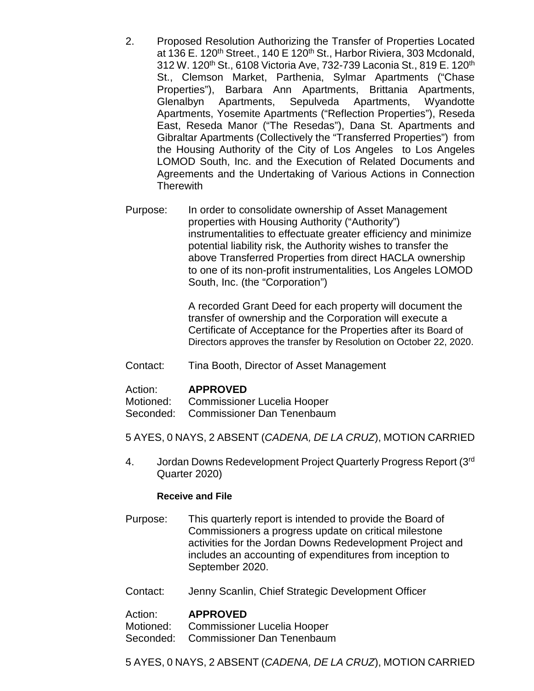- 2. Proposed Resolution Authorizing the Transfer of Properties Located at 136 E. 120<sup>th</sup> Street., 140 E 120<sup>th</sup> St., Harbor Riviera, 303 Mcdonald, 312 W. 120<sup>th</sup> St., 6108 Victoria Ave, 732-739 Laconia St., 819 E. 120<sup>th</sup> St., Clemson Market, Parthenia, Sylmar Apartments ("Chase Properties"), Barbara Ann Apartments, Brittania Apartments, Glenalbyn Apartments, Sepulveda Apartments, Wyandotte Apartments, Yosemite Apartments ("Reflection Properties"), Reseda East, Reseda Manor ("The Resedas"), Dana St. Apartments and Gibraltar Apartments (Collectively the "Transferred Properties") from the Housing Authority of the City of Los Angeles to Los Angeles LOMOD South, Inc. and the Execution of Related Documents and Agreements and the Undertaking of Various Actions in Connection **Therewith**
- Purpose: In order to consolidate ownership of Asset Management properties with Housing Authority ("Authority") instrumentalities to effectuate greater efficiency and minimize potential liability risk, the Authority wishes to transfer the above Transferred Properties from direct HACLA ownership to one of its non-profit instrumentalities, Los Angeles LOMOD South, Inc. (the "Corporation")

A recorded Grant Deed for each property will document the transfer of ownership and the Corporation will execute a Certificate of Acceptance for the Properties after its Board of Directors approves the transfer by Resolution on October 22, 2020.

Contact: Tina Booth, Director of Asset Management

#### Action: **APPROVED**

- Motioned: Commissioner Lucelia Hooper
- Seconded: Commissioner Dan Tenenbaum

5 AYES, 0 NAYS, 2 ABSENT (*CADENA, DE LA CRUZ*), MOTION CARRIED

4. Jordan Downs Redevelopment Project Quarterly Progress Report (3rd) Quarter 2020)

#### **Receive and File**

- Purpose: This quarterly report is intended to provide the Board of Commissioners a progress update on critical milestone activities for the Jordan Downs Redevelopment Project and includes an accounting of expenditures from inception to September 2020.
- Contact: Jenny Scanlin, Chief Strategic Development Officer

#### Action: **APPROVED**

Motioned: Commissioner Lucelia Hooper

Seconded: Commissioner Dan Tenenbaum

5 AYES, 0 NAYS, 2 ABSENT (*CADENA, DE LA CRUZ*), MOTION CARRIED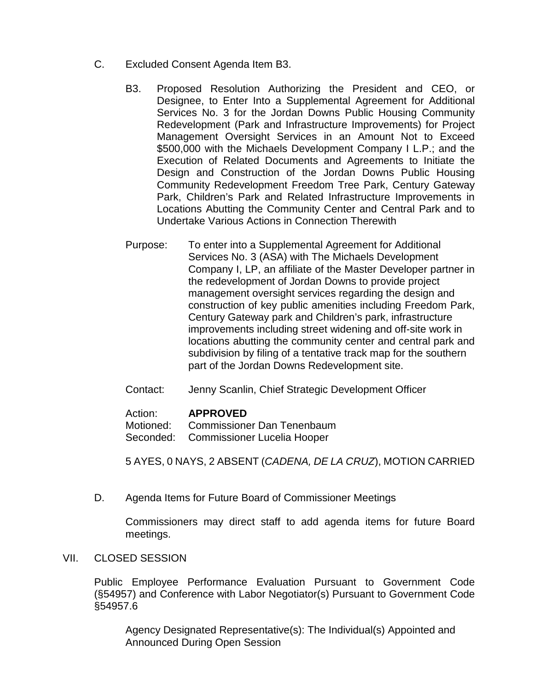- C. Excluded Consent Agenda Item B3.
	- B3. Proposed Resolution Authorizing the President and CEO, or Designee, to Enter Into a Supplemental Agreement for Additional Services No. 3 for the Jordan Downs Public Housing Community Redevelopment (Park and Infrastructure Improvements) for Project Management Oversight Services in an Amount Not to Exceed \$500,000 with the Michaels Development Company I L.P.; and the Execution of Related Documents and Agreements to Initiate the Design and Construction of the Jordan Downs Public Housing Community Redevelopment Freedom Tree Park, Century Gateway Park, Children's Park and Related Infrastructure Improvements in Locations Abutting the Community Center and Central Park and to Undertake Various Actions in Connection Therewith
	- Purpose: To enter into a Supplemental Agreement for Additional Services No. 3 (ASA) with The Michaels Development Company I, LP, an affiliate of the Master Developer partner in the redevelopment of Jordan Downs to provide project management oversight services regarding the design and construction of key public amenities including Freedom Park, Century Gateway park and Children's park, infrastructure improvements including street widening and off-site work in locations abutting the community center and central park and subdivision by filing of a tentative track map for the southern part of the Jordan Downs Redevelopment site.
	- Contact: Jenny Scanlin, Chief Strategic Development Officer

#### Action: **APPROVED**

Motioned: Commissioner Dan Tenenbaum Seconded: Commissioner Lucelia Hooper

5 AYES, 0 NAYS, 2 ABSENT (*CADENA, DE LA CRUZ*), MOTION CARRIED

D. Agenda Items for Future Board of Commissioner Meetings

Commissioners may direct staff to add agenda items for future Board meetings.

#### VII. CLOSED SESSION

Public Employee Performance Evaluation Pursuant to Government Code (§54957) and Conference with Labor Negotiator(s) Pursuant to Government Code §54957.6

Agency Designated Representative(s): The Individual(s) Appointed and Announced During Open Session